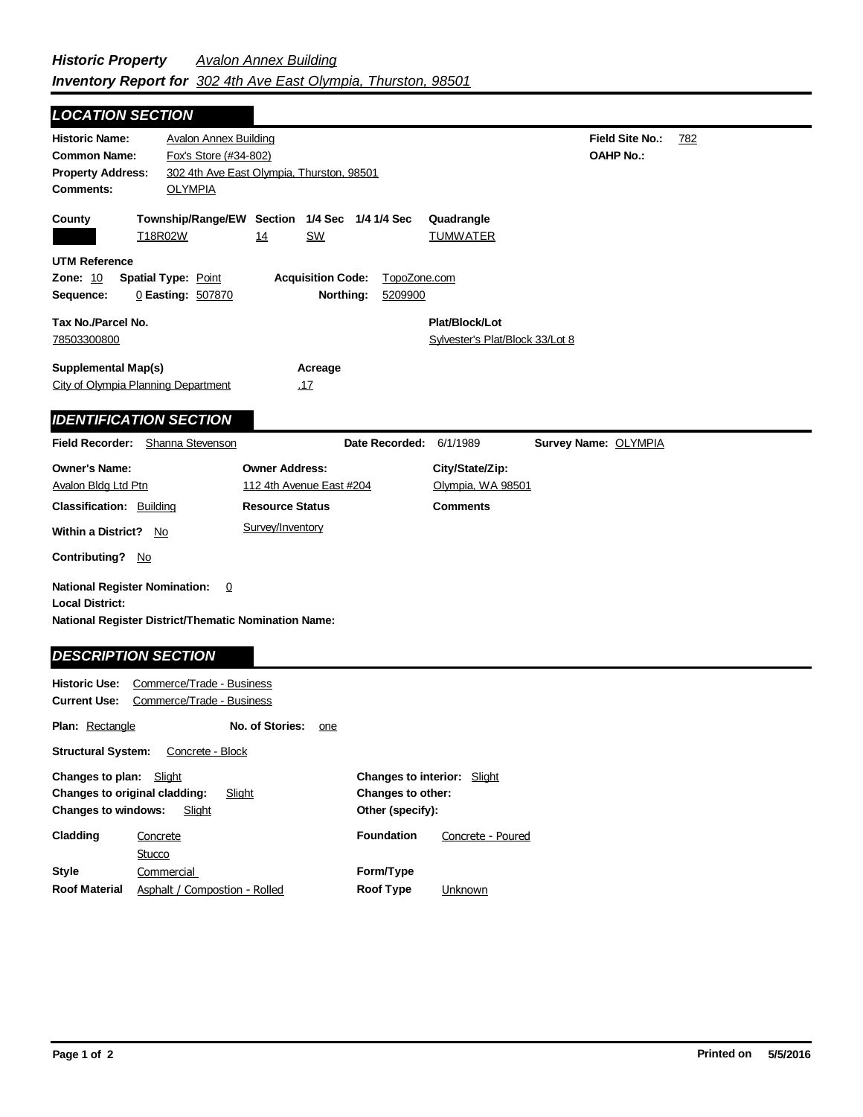## **Field Site No.:** 782 **OAHP No.: Historic Name:** Avalon Annex Building **Common Name:** Fox's Store (#34-802) **County Plat/Block/Lot** Sylvester's Plat/Block 33/Lot 8 **Acreage** .17 **Supplemental Map(s)** City of Olympia Planning Department **Tax No./Parcel No.** 78503300800 **Property Address:** 302 4th Ave East Olympia, Thurston, 98501 *LOCATION SECTION* **Comments:** OLYMPIA **Quadrangle UTM Reference Township/Range/EW Section 1/4 Sec 1/4 1/4 Sec Owner Address:** 112 4th Avenue East #204 **Field Recorder:** Shanna Stevenson **Owner's Name:** Avalon Bldg Ltd Ptn **City/State/Zip:** Olympia, WA 98501 **National Register District/Thematic Nomination Name: Local District: Date Recorded:** 6/1/1989 **Classification:** Building **Within a District?** No **Contributing?** No **Comments National Register Nomination:** 0 **Historic Use:** Commerce/Trade - Business **Current Use:** Commerce/Trade - Business **Resource Status Survey Name:** OLYMPIA *IDENTIFICATION SECTION DESCRIPTION SECTION* T18R02W 14 SW TUMWATER **Zone:** 10 **Spatial Type:** Point **Acquisition Code:** TopoZone.com **Sequence:** 0 **Easting:** 507870 **Northing:** 5209900 Survey/Inventory

| <b>Plan:</b> Rectangle                                                                                        |                               | No. of Stories: | one                                                                         |                   |                   |
|---------------------------------------------------------------------------------------------------------------|-------------------------------|-----------------|-----------------------------------------------------------------------------|-------------------|-------------------|
| <b>Structural System:</b>                                                                                     | Concrete - Block              |                 |                                                                             |                   |                   |
| Changes to plan:<br>Slight<br>Changes to original cladding:<br>Slight<br><b>Changes to windows:</b><br>Slight |                               |                 | <b>Changes to interior:</b> Slight<br>Changes to other:<br>Other (specify): |                   |                   |
| Cladding                                                                                                      | Concrete<br>Stucco            |                 |                                                                             | <b>Foundation</b> | Concrete - Poured |
| <b>Style</b>                                                                                                  | Commercial                    |                 |                                                                             | Form/Type         |                   |
| <b>Roof Material</b>                                                                                          | Asphalt / Compostion - Rolled |                 | <b>Roof Type</b>                                                            | Unknown           |                   |